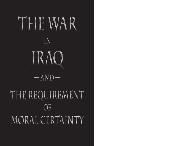THE WAR IN IRAQ  $-\overline{AND}$ THE REQUIREMENT  $OF$ MORAL CERTAINTY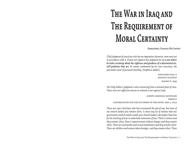# **The War in Iraq and The Requirement of Moral Certainty**

*Emmanuel Charles McCarthy*

*[The] judgment of conscience also has an imperative character: man must act in accordance with it. If man acts against this judgment or, in a case where he lacks certainty about the rightness and goodness of a determined act, still performs that act, he stands condemned by his own conscience, the proximate norm of personal morality. [Emphasis added.]* 

> Pope John Paul II *veritatis splendor*august 6, 1993

*The Holy Father's judgment is also convincing from a rational point of view. There were not sufficient reasons to unleash a war against Iraq.* 

Joseph Cardinal Ratzinger **PREFECT** congregation for the doctrine of the faith, may 2, 2003

*There are some Christians who have renounced the god of war, but more of our church leaders just remain silent. Is there any act of violence that our government could do which would cause church leaders who profess their love for the teaching of Jesus to make bold statements of love? There is torture and they remain silent, there is imprisonment without charges and they remain silent. There are anal probes and sexual humiliation and they remain silent. There are children and women taken hostages, and they remain silent. There*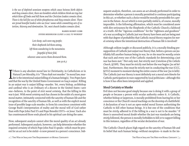is the use of depleted uranium weapons which cause heinous birth defects<br>and they remain silent, there are bomblets which children think are toys but<br>which blow off limbs and kill them and the Christian leaders remain sile *tortion, thievery and domination. Yet, most church leaders remain silent.*

#### Karen Horst-Cobb*divine mushroom cloud: a call to worship*

*Lost sheep, such were my people; their shepherds led them astray, left them wandering in the mountains forgetful of their fold, whoever came across them devoured them.*JER 50:6,7

If there is any absolute moral law in Christianity, in Catholicism or in Natural Law Morality, it is "Thou shalt not murder." In moral law, murder is the intentional unjust killing of a human being(s). Two Popes have said that the war by the United States Government on Iraq is unjust. Killing in an unjust war is unjust killing—murder. Yet, every bishop, archbishop and cardinal who is an Ordinary of a diocese in the United States—save one—believes, to the point of *strict moral certainty,* that the killing in this war is just. With *moral certainty* each has chosen in the midst of a most grave moral matter, intimately connected with the sanctity of human life and the recognition of the sanctity of human life, as well as with the explicit moral issue of possible large scale murder, to form his conscience consistent with George Bush's interpretation of reality and the moral will of God rather than with Pope John Paul II's and Pope Benedict XVI's—or Jesus'. Each also has countenanced those souls placed in his spiritual care doing the same.

Now, subsequent analysis cannot alter the moral quality of an act already performed. Subsequent analysis, however, can help determine whether the required certainty of which Pope John Paul II speaks—which must be present for an act not to be sinful—is now present in a person's conscience. Subsequent analysis, therefore, can assess an act already performed in order to determine whether a person is morally permitted to continue participating in this act, or whether such a choice would be morally permissible for a person in the future. An act which is even partially sinful is, of course, morally impossible. Is the following affirmation, which must be considered anew with dire seriousness by the Shepherds of the Catholic Church a falshood or a truth: All the "rigorous conditions" for the "rightness and goodness" of a war according to Catholic just war theory have been and are being met with that degree of probability that Catholic moral theory requires for *moral certainty* where the intentional destruction of human life is involved?

Although seldom taught or discussed publicly, it is a morally binding presupposition of Catholic just-unjust war theory that, before a person can justifiably kill another human being in war, he or she must be *morally certain* that each and every one of the Catholic standards for determining a just war has been met.1 Not only met, but strictly met (*Catechism of the Catholic Church,* §2309). They must be strictly met before the war begins *(jus ad bellum)*. Furthermore, they must be strictly met in conducting the war (CCC, §2312) moment to moment during the entire course of the war *(jus in bello)*. The Catholic just war theory is most definitely not a moral *carte blanche* for Catholic participation in wars supported by local politicians—although this is how it has often been interpreted and applied.

# **Moral Certainty or Murder**

Evil does not become good simply because one is doing it with a group of people or because a person with secular authority orders it. A Catholic, whether bishop or layperson, is morally prohibited from leaving his or her conscience or the Church's moral teachings on the doorstep of a battlefield. A declaration of war is not an open-ended moral license authorizing the Catholic to kill other human beings. It is but one of the conditions that must be *strictly* adhered to if the killing in a war is not to be murder.<sup>2</sup> If there is unresolved moral doubt whether the just war standards are being *strictly* followed, the person is morally forbidden to kill or to support killing in this instance, regardless of the secular declaration of war.

The Catholic Church places high regard on the sanctity of human life and its belief that each human being—without exception—is made in the im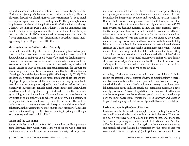age and likeness of God and is an infinitely loved son or daughter of the "Father of all" (Eph 4:1–6). Because of the sanctity, the holiness, of human life per se, the Catholic Church's just war theory starts from "a strong moral presumption against war which is binding on all."3 This presumption can only be overcome by a strict application of the Catholic just war theory. Otherwise the killing in a war is unjust, that is, it is the evil of murder. Strict moral certainty in the application of the norms of the just war theory is the standard to which all Catholics are held when trying to overcome this "strong presumption against war" that is intrinsic to Catholic moral theology as taught by the Magisterium of the Church.

# **Moral Systems as the Guides to Moral Certainty**

In Catholic moral theology there are accepted moral systems whose purpose is to guide a person to a state of *moral certainty* when there is practical doubt whether an act is good or evil.4 One of the methods that human consciousness can envision to achieve moral certainty, where moral doubt exists concerning which is the moral course of action to choose, is designated laxism. Laxism as a way of engaging in moral discernment for the purpose of achieving moral certainty has been condemned by the Catholic Church (Denzinger, *Enchiridion Symbolorum,* §§2101–2165, especially §2103). This condemnation means that specious moral arguments, those that are possibly logically precise but which the evidence shows are highly improbable in reality, may not be employed to justify a moral position before God. Selfevidently then, borderline tenable moral arguments are forbidden where moral law must be strictly observed, specifically when related to the morality of killing another human being. To repeat, laxism can never be used in any situation as a moral system to achieve the *moral certainty* necessary to act in good faith before God (Rm 14:23)—and this self-evidently must include those moral situations where *strict* interpretation of the moral law is obligatory. In their various moral theologies the vast majority of Churches in Christianity would agree with this understanding in principle, although each one's expression of it might differ.<sup>5</sup>

# **Laxism and the War on Iraq**

For example, let us look at the Iraqi War, where human life is presently being destroyed daily. Given what is known about the war's inception and its conduct, rationally there can be no *moral certainty* that the just war norms of the Catholic Church have been strictly met or are presently being strictly met, *jus ad bellum* or *jus in bello*—unless the moral system of laxism is employed to interpret the evidence and to apply the just war standards. Consider but two facts among many: How is the Catholic just war standard of non-combatant immunity being strictly met when over 650,000 Iraqi civilians are dead and hundreds of thousands more maimed?<sup>6</sup> How is the Catholic just war standard of a "last resort defensive war" strictly met, when the war was clearly not the "last resort," since the government itself called it a "preventive" war, and since the reasons given by the government for starting this war were and have been shown to be incontestably false and fraudulent. Iraq had no weapons of mass destruction which were aimed at the United States and capable of imminent deployment. Iraq had no intention of attacking the United States in the immediate future. Only a formally laxist interpretation of the evidence in the light of the Catholic just war theory with its strong moral presumption against war could arrive at or sustain a *morally certain* conclusion that this first-strike offensive war on Iraq, which has left hundreds of thousands of non-combatants dead and maimed, is morally just—*jus ad bellum* or *jus in bello*.

According to Catholic just war norms, which only have validity for Catholics within the acceptable moral systems of Catholic moral theology, if there is not strict moral certitude that a war is just and is being conducted justly then the killing in it is unjust. In Catholic moral theology, intentional unjust killing is always intrinsically and gravely evil—it is always murder. It is never morally permissible. A laxist interpretation of the standards of Catholic just war theory employed in order to achieve a pseudo moral certainty that supports the unjust destruction of human life is itself a grave evil, which if participated in at any stage with full knowledge and full consent is mortal sin.

# **Laxism: Abandoning the Cross of Vocation**

Laxism cannot be the moral system applied in interpreting the word "intentional" where the destruction of human life is the issue. When over 650,000 civilians have been killed and hundreds of thousands more have been maimed, spinning such indiscriminate destruction as mere "accidental" or "unintentional" collateral damage is a self-evident, morally-debased and morally-debasing falsehood, orchestrated by "the Father of Lies who was a murderer from the beginning" (Jn 8:44). It makes no moral difference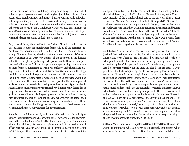whether an unjust, intentional killing is being done by a private individual or by an agent of government—if the killing is unjust, it is totally forbidden because it is morally murder and murder is gravely intrinsically evil without exception. Only a moral position arrived at through the moral system of laxism could conclude with *moral certainty* that this present war in Iraq adheres to the norms of the Catholic just war theory, e.g., that killing over 650,000 civilians and maiming hundreds of thousands more is a *strict* application of the noncombatant immunity standard of Catholic just war theory within the larger context of Catholic moral theology.

But, as noted above, it is forbidden in the Catholic Church to apply laxism in any situation, let alone as a moral system for morally justifying homicide—regardless of the individual Catholic's rank in the Church, e.g., foot soldier or bishop. This being the case, why then are there tens of thousands of Catholics actively engaged in this war? Why then are all the bishops of all the dioceses of the U.S.—except one—justifying participation in it by those in their spiritual care? Why are the Catholic bishops by silence permitting those who rely on them for moral guidance to go to this war as if they, the bishops, were *morally certain*, within the structures and strictures of Catholic moral theology, that it is a just war in its inception and in its conduct? If a person knows that the killing which is taking place is murder (unjustified homicide), would he not communicate this in no uncertain terms, especially if he were a spiritual leader on whom people relied for their proper discernment of good and evil? After all, since murder is gravely intrinsically evil, it is morally forbidden to cooperate with it—even by calculated silence—in order to attain some other goal, regardless of how noble the goal appears to be. Intrinsically evil means, such as murder or abortion, cannot be used to achieve even the best of good ends—nor can intentional silence concerning such means be so used. Those who know that murder is taking place are called by God to be the voice of its victims, not the moral support team for its perpetrators.

Something is awfully spiritually amiss in the United States Catholic Episcopacy—as spiritually derelict as when the most powerful Catholic Churchman in the country, Francis Cardinal Spellman stood up during the Vietnam War and proclaimed, "My country right or wrong!" For American naval officer Stephen Decatur, who first used this immoral patriotic expression in 1815, to speak this way is understandable, since it but reflects an individ-

ual's philosophy. For a Cardinal of the Catholic Church to publicly endorse that which is contrary to the Prophets of Hebrew Scripture, to the Natural Law Morality of the Catholic Church and to the very teachings of Jesus is evil. The National Conference of Catholic Bishops (NCCB) permitted Spellman's statement to publicly stand unchallenged, knowing that innumerable Catholics and others within his canonical jurisdiction and beyond would assume it to be in conformity with the will of God as taught by the Catholic Church and would support and participate in the war because of it. At a bare minimum, was this chosen stance by the NCCB not that form of material cooperation with evil so common to the person(s) that William H. Whyte fifty years ago identified as "the organization man?"

And, today? At what point, in the process of justifying by silence the unjustified destruction of human life, does silence become dereliction of a Divine duty, even if said silence is mandated by institutional loyalty? At what point do individual bishops or an entire episcopacy cease to be incarnationally Jesus' disciples and become Pilate's deputies, washing their hands of any responsibility for the agonia of bloodletting in Iraq? At what point does the tactic of ignoring murder by myopically focusing one's attention on diocesan finances, liturgical music, corporate legal strategies and the minutiae of ritual become outright evil? Cannot evil manifest itself as silence, a silence that is the consequence of moral laxism? Cannot silence about unspeakable evil—by those whom people look upon as their authoritative moral leaders—make the unspeakable respectable and acceptable? Is what has been done and is presently being done by the U.S. Government to human beings in Iraq not unspeakable evil? In diocese after diocese in the U.S., are not Catholics being left as "sheep without a shepherd"? (NM 27:17; 1 Kgs 22:17; Ez 34:5; Mt 9:36; Mk 6:34). Are they not being left by their shepherds to "wander aimlessly" (JER 23:2; 50:6,7), oblivious to the cunning wolves of war who seek to devour them spiritually and to use them to devour others physically? Or worst yet, are not their shepherds providing the powerful wolves, whom they fear or admire, with sheep's clothing so that they can more facilely prey upon the flock?

# **Catholic Moral Law Protects Equally In Utero & Extra Utero Human Life**

Again, to emphasize what can never be too strongly emphasized when dealing with the matter of the sanctity of human life as it relates to the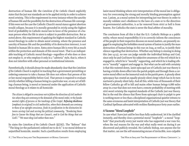destruction of human life: the *Catechism of the Catholic Church* explicitly states that the just war standards are to be applied *strictly* in order to achieve *moral certainty*. This is the requirement in every instance where the sanctity of human life and the possibility for the destruction of human life converge. If this were not the case the Catholic Church's moral stance against abortion would collapse, because it is morally grounded in *strictly* using the highest level of probability in Catholic moral law in favor of the presence of a human person when the life in utero is subject to possible destruction. But as noted above, this requirement of applying the highest standard in Catholic moral theology in order to obtain *moral certainty,* where the presence and sanctity of human life and the possibility of its destruction intersect, is not limited to human life in utero. Extra utero human life is every bit as much within the protection and domain of this moral tenet. That is an indisputable teaching of Catholic moral theology—regardless of who does or does not employ it, or who employs it only in a "cafeteria" style, that is, when it does not interfere with other personal or institutional interests.

Parenthetically, it should always be made abundantly clear that the *Catechism of the Catholic Church* is explicit in teaching that a government permitting or ordering someone to take a human life does not relieve that person of his or her moral responsibility before God. That person is required to evaluate strictly whether killing a human being in a particular war, or any act of killing a human being, is moral or immoral under the application of Catholic moral theology as it relates to all homicide:

*The citizen is obliged in conscience not to follow the directives of civil authorities when they are contrary to the demands of the moral order, to the fundamental rights of persons or the teachings of the Gospel. Refusing obedience [emphasis in original] to civil authorities, when their demands are contrary to those of an upright conscience, finds its justification in the distinction between serving God and serving the political community. "Rendering therefore to Caesar the things that are Caesar's, and to God the things that are God's." "We must obey God rather than men."* 

So states the *Catechism of the Catholic Church* (§2242). The "defense" that "The king (or the parliament) ordered me to do it," is no moral defense to unjustified homicide, murder. Such a justification results from employing

laxist moral thinking where *strict* interpretation of the moral law is obligatory for overcoming the strong and morally binding presumption against war. Laxism, as a moral system for interpreting just war theory in order to morally validate one's obedience to the laws of a state or to the directives of governmental authorities, is as far removed from strict as hell is from heaven. For Catholics the state is never the final arbiter of morality.

The conclusion from all this is that the U.S. Catholic Bishops as a public entity, whose moral responsibility it is to correctly inform the consciences of the people in their respective dioceses on moral matters, are presently engaged in employing the forbidden moral system of laxism to justify the mass destruction of human beings in this war on Iraq, as well as, to justify their silence regarding that destruction. Whether any bishop is sinning in doing this (Rm 14:23), no one can judge outside the individual bishop and God, since only he and God know his subjective awareness of the evil which he is engaged in, which he is "morally" supporting, and which he is leading others to "morally" support and engage in. But what can be said with certainty is that this watered-down, laxist episcopal use of Catholic just war theory is having a trickle-down effect into the parish pulpits and through them a corrosive moral effect on the immortal souls in the parish pews. A piously silent episcopacy has created an equally piously silent clergy which has in its turn nurtured a piously silent laity. And all this, while tens of thousands of their fellow Catholics go off to kill and maim other human beings 6,000 miles away in a war that does not even have a remote probability of meeting with *strict moral certainty* the required standards of the Catholic just war theory. But in the end the silence that flows from episcopal chair to pulpit to pew is nothing more or less than a disciplined organizational quietist witness to the same erroneous and laxist interpretation of Catholic just war theory that Cardinal Spellman advocated with reckless flamboyance forty years earlier.

# **A Vacuous "Moral Loophole"**

In case what I have just said be less than fully understood, let it be clarified instantly, and thereby close a potential moral "loophole"—a moral "loophole" that practically every just warist who has supported a war runs for, when the real reasons for the war and what really went on during it are discovered and publicly revealed. No Catholic bishop, nor anyone else for that matter, can use the self-exonerating excuse of invincible, non-culpable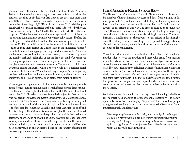ignorance in a matter of morality related to homicide, unless he genuinely desired to know—and actively sought to know—the factual truth of the matter at the time of his decision: "Are there or are there not more than 650,000 Iraqi civilians dead and hundreds of thousands more maimed with the numbers increasing daily?" "How did this happen?" "How is it happening, if Catholic just war principles are being strictly adhered to by the U.S. government and properly taught to the Catholic soldiers by their Catholic chaplains?" "Was the use of depleted uranium planned as part of the war's strategy and could this have been known or reasonably assumed before the war began?" "Did or did not Saddam Hussein have weapons of mass destruction?" "Did he or did he not have the technical capability and the intention of using them against the United States in the immediate future?"7 In Catholic moral theology, a person may not claim invincible ignorance, and hence non-culpability for his or her choices, if that person is playing the moral ostrich and sticking his or her head into the sand of government lies and propaganda in order to avoid seeing what one knows is there to be seen, but does not want to see—for some reason. The intentional flight from awareness of facts and truths, which if known would alter a person's moral position, is itself immoral. When it results in participating in or supporting the destruction of human life it is gravely immoral, and one cannot then employ the alibi, "I didn't know," as an escape from moral culpability.

However, personal ignorance—culpable or non-culpable—does not preclude others from seeing and naming, with eternal life and eternal death seriousness, the moral catastrophe that has befallen the U.S. Catholic Church and many other U.S. Christian Churches. Moral laxism, *jus ad bellum* and *jus in bello,* has been the *de facto* moral system chosen by the U.S. Catholic Bishops, and most U.S. Catholics and other Christians, for justifying the killing and maiming of hundreds of thousands of Iraqis, and for morally permitting tens of thousands of American Catholics and other Christians to go off and do this killing. If the Catholic bishops had adopted the same laxist moral system to attain *moral certainty* with regards to the possible destruction of a person via abortion, no one would be able to ascertain whether they were for or against abortion. However, whether a person lives in the womb or in Fallujah, laxism, as the chosen moral system for deciding if a life can be justly destroyed, is an anti-witness to belief in "the sanctity of human life from conception to natural death."

#### **Planned Ambiguity and Consent-bestowing Silence**

The United States Conference of Catholic Bishops and each bishop who is a member of it must immediately cease and desist from engaging in this most grave evil. The Conference and each bishop must unambiguously inform those for whom they are morally responsible that Catholics must not support or participate in this war. The bishops must be as unequivocally straightforward in their condemnation of unjustified killing in Iraq as they are with their condemnation of unjustified killing in the womb. They must insist that Catholics must neither support nor participate in this killing because this killing is murder, according to the required *strict* application of Catholic just war theory standards within the context of Catholic moral theology and moral systems.

There is no other morally acceptable alternative. When confronted with murder, silence serves the murders and those who profit from murder, never the victims. Silence is a choice and therefore is subject to discernment as to whether it is in conformity with the call of the moral will of God as revealed by Jesus. The Bishops' calculated witness of planned ambiguity and consent-bestowing silence—not to mention the jingoism that they are passively permitting to pass as Catholic moral theology—is cooperation with and complicity in unjustified killing. To justify a grave evil is to promote that grave evil. Silence gives consent, especially where a serious moral matter is concerned and where the silent person is understood to be an official moral leader.

For bishops to remain silent in the face of a grave evil, knowing their silence will be interpreted and used as a sign of moral acceptability, is to bestow upon evil a nonverbal, body language *"imprimatur."* This then allows people to engage in the evil with a clear conscience because the *"imprimatur"* communicates loudly and clearly that:

*"We bishops may disagree with the policies, practices and politics relating to this war. But, there is nothing about them that would undermine our moral certainty that the strong moral presumption against war has been overcome by the strict application of Catholic just war theory. Therefore you may take part in this war and support it if you wish."*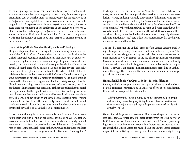To confer upon a person a clear conscience in relation to a form of homicide is to remove a major barrier to engaging in that activity. It is also to supply a significant tool by which others can recruit people for the activity. Such an *"imprimatur"* in a capitalist society or in a communist society is worth its weight in gold. To a government planning to go to war or at war, it is worth more than ten regiments or ten battleships or ten television networks. A silent, nonverbal, body language *"imprimatur,"* however, can also be cooperation with unjustified intentional homicide. In the case of the present war in Iraq it pointedly appears to be that—despite its enormous value in the secular domain.8

# **Undermining Catholic Moral Authority and Moral Theology**

The present episcopal witness is also publicly undermining the entire structure of the Catholic Church's moral theology and moral authority in the United States and beyond. A moral authority that authorizes by public witness a laxist system of moral discernment regarding mass homicide has, thereby, concretely morally validated every possible choice of human behavior. The semblance of a justification can be found for any act—especially where some desire, pleasure or self-interest of the actor is at stake. If the official moral leaders and teachers of the U.S. Catholic Church can employ a laxist interpretation of Catholic moral principles *vis à vis* the mass homicide of war, rather than interpreting just war standards *strictly* as required by the Church's own teaching, then why cannot every Catholic in every situation use the same laxist interpretive paradigm? If the episcopal teachers of moral theology validate by their public witness an Orwellian doublespeak inversion of meaning then the word lax would be permitted to masquerade as *strict*. This would allow laxism to appear to be an acceptable moral system when doubt exists as to whether an activity is mass murder or not. Moral consistency would dictate that the same Orwellian charade of moral discernment be available to all Catholics in all moral matters.

Laxism would thereby become an acceptable moral system of interpretation in relationship to all human behavior as serious as, or less serious than, mass murder—albeit under cover of the nomenclature of a newly defined meaning for *strict*. Lest it be perceived as absurd that such an Orwellian inversion of meaning could take place in the Church, consider the moral logic that has been used to render nugatory in Christian moral theology Jesus'

teaching, "Love your enemies." Burning Jews, heretics and witches at the stake, torture, wars, abortions, political oppression, shaming, violent revolutions, slavery, indeed practically every form of inhumanity and cruelty imaginable, has been interpreted by the Christian Churches at one time or another to be morally consistent with following Jesus' command to "Love your enemies." Where the moral will of some god other than the God revealed in and by Jesus becomes the standard by which Christians make their decisions, history shows that it takes almost no effort to logically, theo-logically and emotionally "see" hate as love, fear as freedom, evil as good, domination as service and lax as strict.

The time has come for the Catholic bishops of the United States to publicly repent, to publicly change their minds and their behavior regarding this matter of human slaughter in Iraq. As their silence has given consent to mass murder, as well as, consent to the use of a condemned moral system (laxism), so now let them reclaim their moral tradition and moral authority by saying, with one voice, in language that the simplest soul can comprehend: "This war is unjust and killing in it is murder according to Catholic moral theology. Therefore, our Catholic men and women can no longer participate in it or support it."

# **Unjustified Killing Is Not Open to Ex Post Facto Justification**

Finally, while it is not precisely on the topic of this essay, let there be no belated, contorted, retroactive duck-and-cover efforts at self-justification. It is morally unacceptable to maintain that,

*"While we started the killing unjustly, we cannot now stop killing since we are there killing. We will only stop killing the other side when the other side, whom we have unjustly attacked, stops killing us and those who have aligned themselves with us."*

Unjustified killing does not become justified when the party, that the unjust lethal aggressor intends to kill, defends itself from the lethal aggressor. In Catholic just war theory, an international United Nations peacekeeping operation may be morally acceptable in Iraq to restore order to a society which the United States has ravaged. But the unjust, lethal aggressor responsible for initiating the carnage and chaos has no moral right to any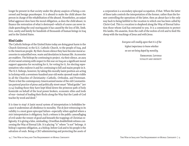longer be present in that society under the phony auspices of being a concerned and benign peacekeeper. It is absurd to make the child abuser the person in charge of the rehabilitation of the abused. Nonetheless, an unjust lethal aggressor does have the moral obligation, as does the child abuser, to finance the restoration of what is destroyed—which of course can never include quenching the soul-searing pain it has caused by the loss of life, limb, love, sanity and family for hundreds of thousands of human beings in Iraq and in the United States.

### **Blind Guides**

The Catholic bishops of the United States today are doing great harm to the Church Universal, to the U.S. Catholic Church, to the people of Iraq, and to the American people. By their chosen silence they have become moral accessories to unjustified woe, waste and desolation in human life. Accessories are enablers. The bishops by continuing to project, via their silence, an aura of *strict moral certainty* with respect to this war on Iraq are a significant moral support apparatus for recruiting for it, for voting for it, for electing representatives who endorse it and for continuing to kill and maim people in it. The U.S. bishops, however, by taking this morally laxist position are acting in lockstep with a seventeen-hundred-year-old *modus operandi* made visible in all the Churches of Christianity—Catholic, Orthodox, and Protestant. Theirs is but the contemporary Americanized meme of the old Constantinian pastoral practice of pious and politically street-smart "blind guides" (MT 15:14) leading those they have kept blind down the primrose path of holy homicide on behalf of the local power brokers, economic elites and lords of war—instead of leading their flocks along the Way that the Lamb of God teaches by word and deed.<sup>9</sup>

It is time to stop! A laxist moral system of interpretation is forbidden because it undermines all obedience to morality. The *de facto* witnessing to its validity is a most grave episcopal failure—especially when applied where a *strict* interpretation is obligatory. Such a witness is the public camouflaging of evil under the veneer of good and beneath the trappings of Christian religiosity. It is giving a false, misleading, Orwellian doublethink witness concerning the Way of Eternal Life. It is placing "is" where "is not" belongs. A bishop's supreme obligation, as a bishop, before God and to his people is the salvation of souls. Being a CEO administering and protecting the assets of a corporation is a secondary episcopal occupation, if that. When the latter of these tasks controls the interpretation of the former, rather than the former controlling the operations of the latter, then an about-face is the only way back to being faithful to the vocation to which one has been called by Christ-God. This is a vocation to shepherd along the Way of Eternal Salvation those whom God has entrusted to you. It is a commission to protect His lambs, His anawim, from the craft of the wolves of evil and to feed His sheep with the teachings of Jesus and with Jesus.

> *Everyone will readily agree that it is of the highest importance to know whether we are not being duped by morality.*

> > Emmanuel Levinas*totality and infinity*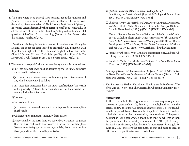#### **Endnotes**

1. "In a case where he (a person) lacks certainty about the rightness and goodness of a determined act, still performs that act, he stands condemned by his own conscience." *The Splendor of Truth (Veritatis Splendor)*: Encyclical Letter addressed by the Supreme Pontiff Pope John Paul II to all the bishops of the Catholic Church regarding certain fundamental questions of the Church's moral teachings (Boston: St. Paul Books & Media, Vatican Translation), §60.

 "Practical doubt is equivalent to a verdict of conscience forbidding the act until the doubt has been cleared up practically. This principle, with its profound insight into truth, is held and taught by all teachers in the Church." Bernard Häring, "Basic Principle Regarding Doubt," in *The Law of Christ,* Vol I (Paramus, NJ: The Newman Press, 1966), 171.

- 2. The generally accepted Catholic just war theory standards are as follows:
	- a) Just institution: the war must be declared by the legitimate authority authorized to declare war;
	- b) Just cause: only a defensive war can be morally just, offensive war of any kind is not morally justifiable;
	- c) Just intention: vengeance, hate, the unjust confiscation of the wealth or the property rights of others, their labor force or their markets are morally forbidden intentions;
	- d) Last resort;
	- e) Success is probable;
	- f) Just means: the means chosen must be indispensable for accomplishing the end;
	- g) Civilian or non-combatant immunity from attack;
	- h) Proportionality: the harm done to a people by a war cannot be greater than the harm that would have occurred if the war did not take place. No defensive strategy, *jus ad bellum* or *jus in bello,* that exceeds the limits of proportionality is morally permissible.

16 | The War in Iraq and The Requirement of Moral Certainty The War in Iraq and The Requirement of Moral Certainty | 17

*For further elucidation of these standards see the following:*

- ❑ *Catechism of the Catholic Church* (Liguori, MO: Liguori Publications, 1994), §§2307–2317. [ISBN 0-89243-565-8]
- ❑ *Challenge of Peace: God's Promise and Our Response, A Pastoral Letter on War and Peace,* United States Conference of Catholic Bishops, (National Catholic News Service, 1984), §§80–110. [ISBN 1-55586-863-0]
- ❑ *Harvest of Justice is Sown in Peace,* A Reflection of the National Conference of Catholic Bishops on the Tenth Anniversary of *The Challenge of Peace: God's Promise and Our Response* (Washington, DC: Office of Social Development & World Peace, United States Conference of Catholic Bishops 1993), 9–11. [http://www.usccb.org/sdwp/harvest.htm]
- ❑ John Howard Yoder, *When War is Unjust* (Minneapolis: Augsburg Publishing House, 1984). [ISBN 0-80662-077-3]
- ❑ Ronald G. Musto, *The Catholic Peace Tradition* (New York: Orbis Books, Maryknoll, 1986). [ISBN 0-88344-263-9]
- 3. *Challenge of Peace: God's Promise and Our Response, A Pastoral Letter on War and Peace,* United States Conference of Catholic Bishops, (National Catholic News Service, 1984), §§66–78. [ISBN 1-55586-863-0]
- 4. Karl Rahner and Herbert Vorgrimler, *Moral Systems* in *Dictionary of Theology,* 2nd ed. (New York: The Crossroads Publishing Company, 1985), 318–319.

#### *Moral Systems:*

By this term Catholic theology means not the various philosophical or theological systems of morality, law, etc., as a whole, but the various theories as to how one is morally bound to act where there is a serious doubt whether a [moral] law exists or whether it applies to the case in hand and this doubt cannot be directly resolved by closer study, etc. This question does not arise in a case where a specific end must be achieved without fail (for instance, for the validity of a sacrament: D 2101) [D, Denzinger, *Enchiridion Symbolorum*, edited by Adolf Schömnetzer, Frieburg i, Br., 32nd ed., 1963] therefore the best means to that end must be used. In other cases the question is answered as follows: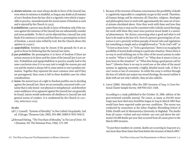- a) *absolute tutiorism:* one must always decide in favor of the [moral] law, even when its existence is doubtful, so long as any doubt at all remains of one's freedom from the law; this is a rigoristic view which is impossible in practice, misunderstands the moral nature of freedom as such and is rejected by the Church (D 2303);
- b) *probabiliorism:* a person may decide in favor of freedom only if the reasons against the existence of the [moral] law are substantially sounder and more probable. To this it can be objected that a [moral] law only binds if its existence is certain and that there is a presumption in favor of freedom, a moral value willed by God. But the Church allows this opinion (D 2175FF.);
- c) *equiprobabilism:* freedom may be chosen if the grounds for it are as good as those for believing that the [moral] law exists;
- d) *pure probabilism:* the presumption is in favor of freedom if there are serious reasons in its favor and the claim of the [moral] law is not certain. Probabilism and equiprobabilism in practice usually lead to the same conclusion since it is no easy task to weigh the reasons pro and con and the matter is always left to some extent to one's prudent estimation. Together they represent the most common view and if they are presupposed, then room is left in these doubtful cases for other considerations;
- e) *laxism:* the merest trace of a right to freedom justifies one in deciding against the [moral] law. Since we are normally concerned with a certainty that is only moral—not physical or metaphysical—and therefore some semblance of an argument against the [moral] law can generally be found, laxism would undermine all obedience to [moral] law and general norms of conduct. It is condemned by the Church (D 2101-2165, especially 2103).

#### *See also:*

- ❑ F. J. Connell, "Systems of Morality," in *New Catholic Encyclopedia,* 2nd ed. (Chicago: Thomson Gale, 2002), 876–880. [ISBN 0-7876-7694-2]
- ❑ Bernard Häring, "The True Basis of Morality," in *The Law of Christ, Vol <sup>I</sup>*(Paramus, NJ: The Newman Press, 1966), 175–189.
- 5. Because of the structure of human consciousness the possibility of doubt is cognitively impossible to completely escape in this world. Therefore, all human beings and by extension all Churches, religions, theologies and philosophies have to work with approximately the same set of moral systems elucidated above. How they work with them and how they name them may or may not be consistent with Catholic moral theology, but work with them they must since practical moral doubt is a universal phenomenon. Yet choices concerning what is good and what is evil have to be made in the face of it. Even if a person's governing law of conscience is not a precisely written panoply of moral rules and regulations but something as simple and as straightforward as "To do God's will" or "To love as Jesus loves," or "To be a good person," there is no escaping the possibility of moral doubt arising in a particular situation. Hence there is no way to avoid utilizing one or the other of the moral systems in order to resolve "What is God's will here?" or "What does it mean to love as Jesus loves in this situation?" or "What does being a good person call for here?". Likewise there is no way to avoid one or the other of the moral systems in applying concretely a highly detailed moral code, if that is one's norm or law of conscience. So while this essay is written through the lens of Catholic just-unjust war moral theology, the moral realities it deals with are not only Catholic, they are also catholic.
- 6. *Lancet* (2006). Mortality After the 2003 Invasion of Iraq: A Cross-Sectional Cluster Sample Survey. 368:9545;1421–1428.

 According to a study published in the October 14, 2006, edition of the peer-reviewed scientific journal, *The Lancet*, as many as 654,965 more Iraqis may have died since hostilities began in Iraq in March 2003 than would have been expected under pre-war conditions. The survey was conducted by researchers at the Johns Hopkins Bloomberg School of Public Health and Al Mustansiriya University in Baghdad. The deaths from all causes—violent and non-violent—are over and above the estimated 143,000 deaths per year that occurred from all causes prior to the March 2003 invasion.

 "To put these numbers in context, deaths are occurring in Iraq now at a rate more than three times that from before the invasion of March 2003,"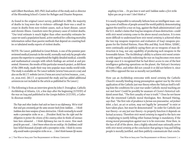said Gilbert Burnham, MD, PhD, lead author of the study and co-director of the Bloomberg School's Center for Refugee and Disaster Response.

 As found in the original *Lancet* survey, published in 2004, the majority of deaths in Iraq were due to violence—although there was a small increase in deaths from non-violent causes, such as heart disease, cancer and chronic illness. Gunshots were the primary cause of violent deaths. "Our total estimate is much higher than other mortality estimates because we used a population based, active method for collecting mortality information rather than passive methods that depend on counting bodies or tabulated media reports of violent deaths.

 NOTE: *The Lancet,* published in Great Britain, is one of the premier peerreviewed medical journals in the world, normally read only by people who possess the expertise to comprehend the highly detailed medical, scientific and mathematical concepts with which findings are arrived at and presented. However, the results of this particular research project, as did those of the 2004 study, made their way into popular mass media world-wide. The study is available on *The Lancet* website (www/THELANCET.COM) and also on the M.I.T. website (HTTP://wEB.MIT.EDU/CIS/PDF/HUMAN\_COST OF WAR.PDF). [M.I.T. co-sponsored the study and has added additional appendices not included in the article as published in *The Lancet*.]

7. The following is from an interview given by John F. Donoghue, Catholic Archbishop of Atlanta, GA, a few days after the beginning (3/19/03) of the war on Iraq and published in the *Georgia Bulletin* (3/27/03), a Catholic diocesan weekly:

*The Pope and other leaders had said we have to use diplomacy. We've tried that and you constantly get the same answer back from Saddam … I think Saddam does have weapons of mass destruction. I think eventually he would make a preemptive strike on us … [President Bush] has the right and the obligation to protect the citizens of this country when he thinks all avenues have been exhausted … I think diplomacy has run its course. How much proof do you need … I don't know where else we could go. He (Saddam) could have killed thousands of people with a preemptive strike. I think he eventually would make a preemptive strike on us … I don't think human life means* 

*anything to him … Do you have to wait until Saddam makes a first strike before you can go to war? I don't think so."*

 It is nearly impossible to rationally fathom how an intelligent man—seeing scores of millions of people around the world publicly demonstrating against the need for a war on Iraq, against the Bush administration's and the U.S. media's claims that Iraq has weapons of mass destruction—could with *strict moral certainty* come to the above moral conclusion. It is even more difficult to understand how *strict moral certainty* is achieved when the two top weapons inspectors and evaluators of Iraq's weapons programs for the United Nations, Hans Blix and Maj. Scott Ritter, USMC, were continually and publicly saying there are no weapons of mass destruction in Iraq, nor any capability of producing such weapons in the foreseeable future. The Archbishop's ability to achieve *strict moral certainty* with regard to morally endorsing the war on Iraq becomes even more strange once it is recognized that he had direct access to one of the best intelligence gathering operations on the planet, the Vatican's Secretary of States Office, and either did not consult it or did not believe it, since this Office opposed the war as morally not justifiable.

 How can an Archbishop overcome with *moral certainty* the Catholic Church's morally binding strong presumption against war by the strict application of the Catholic just war theory when the Vatican itself is telling him the conditions for a just war under Catholic moral teaching are not met here? Could he possibly be unaware of Cicero's historical validated *caveat* that, "The first casualty of war is truth."? Does he not know that the renowned Catholic moral theologian, Rev. Bernard Häring, says that: "the first rule of prudence is *factum non praesumitur, sed probari debet,* a fact, an act or action, may not legally be 'presumed" to exist or have taken place, but must be demonstrated." In order for Catholic just war theory—or any just war theory—to properly function it depends on factual accuracy. Therefore *strict moral certainty* in regard to the facts one is employing to justify killing other human beings is mandatory, if the strong moral presumption against war is to be overcome. How then, in the face of all of the above, does a highly educated man rationally arrive with *strict moral certainty* at the conclusion that going to Iraq and killing people is morally justified, and then publicly communicate that conclu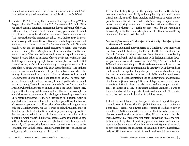sion to those immortal souls who rely on him for authentic moral guidance in discerning good from the snares and deceits of the Evil One?

8. On March 19, 2003, the day that the war on Iraq began, Bishop Wilton Gregory, then the President of the U.S. Conference of Catholic Bishops issued a formal statement concerning the war on behalf of the U.S. Catholic Bishops. The statement contained many good and noble moral and spiritual thoughts. But the critical sentence in the entire statement is: "We support those who accepted the call to serve their country in a conscientious way in the armed forces." By any rational interpretation of that sentence, it has to mean that the U.S. Conference of Catholic Bishops is *morally certain* that the strong moral presumption against this war has been overcome by the *strict* application of the standards of the Catholic just war theory. Otherwise no bishop could make such a public statement, because he would then be in a state of moral doubt concerning whether the killing and maiming of people that was to take place was justified. But as noted earlier, in Catholic moral theology it is not permitted to act in a state of moral doubt. One must only act with *moral certainty*—and in those events where human life is subject to possible destruction or where the validity of a sacrament is at stake, moral doubt can be resolved and moral certainty attained only by a *strict* application of the law. The moral maxim or reflex principle that can normally be employed to achieve moral certainty, namely, "In doubt the possessor is to be favored," is not morally available where the destruction of human life is the issue of conscience. It goes without saying that the moral system of laxism is also completely out of the question as a means of achieving *moral certainty* where doubt exists regarding whether it is morally justified to kill a person. Again to repeat what has been said before but cannot be repeated too often because of a systemic operational malformation of conscience throughout not only the Catholic Church, but also, if truth be told, throughout most of the Churches of Christianity: Because killing a person is legally justified, this does not mean that in this particular instance (war or capital punishment) it is morally justified. Likewise, because Catholic moral theology, in the justified homicide tradition, accepts that it is sometimes possible to morally kill a person, this does not mean that in this particular case the conditions that Catholic moral theology demands in order to acquire the obligatory *strict moral certainty* have been met.

 It is not that Bishop Gregory as the spokesperson for the U.S. bishops does not know how to explicitly and unequivocally declare that something is morally unjustified and therefore prohibited as an option. At one point he states, "Any decision to defend against Iraq's weapons of mass destruction by using our weapons of mass destruction would be clearly unjustified." So here at least, in this one aspect related to the war on Iraq, he is *morally certain* that the strict application of Catholic just war theory would not allow for a particular tactic.

#### *Consider depleted uranium (DU) weapons as intrinsically evil weapons of indiscriminate mass destruction:*

 An unavoidable moral query in terms of Catholic just war theory and the above moral declaration by the President of the U.S. Conference of Catholic Bishops is critically pertinent here: Are not, armor-piercing bullets, shells, bombs and missiles made with depleted uranium (DU), weapons of indiscriminate mass destruction? Why? The extremely dense DU munitions burn on impact. The fire releases microscopic, radioactive and toxic dust particles of uranium oxide that travel with the wind and can be inhaled or ingested. They also spread contamination by seeping into the land and water. In the human body, DU causes harm to internal organs due both to its chemical toxicity as a heavy metal and its release of radiation (*alpha* and *beta* rays). Because of its pervasive and indiscriminate effects, DU is has been classified as an *omnicidal* weapon–one that causes the death of all life. In this sense, depleted uranium is a war on life itself and on all that supports life—air, water and soil. DU remains radioactive well beyond its half-life of 4.5 billion years.

 It should be noted that a recent European Parliament Report, European Committee on Radiation Risk 2003 (ECRR 2003) concludes that Atomic Bomb studies from 1945 onward underestimate the radiation risk by more than 1000 times and failed to consider the internal exposure and diseases caused by *alpha* and *beta* rays. They did not consider a classified memo (October 30, 1943) of the Manhattan Project that, in case the Manhattan Project objective of producing plutonium fission and hence an atomic bomb did not succeed, depleted uranium (DU) munitions would be deployed towards the attainment of the same objective. Therefore, as early as 1943 it was known what DU could and would do as a weapon.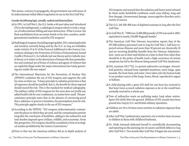This means, contrary to propaganda, the government was well aware of its indiscriminate lethal effects long before its use in the first Gulf War.

*Consider the following legal, scientific, medical and historical facts:*

- ❑ In 1991, in Gulf War I, the U.S. broke a 60-year taboo and introduced DU to the battleground, a radiological weapon which is truly a weapon of indiscriminate killing and mass destruction. What is worse: the flash annihilation from an atomic bomb or the slow, ceaseless, multigenerational mutilation caused by DU weapons?
- ❑ Radiological weapons (including target-guided, DU-containing bombs and missiles) currently being used by the U.S. in Iraq are forbidden under Articles 35 & 55 of the Protocol Additional to the Geneva Conventions relating to the Protection of Victims of International Armed Conflict (Protocol 1). In Catholic just war theory and in Catholic moral theory as it relates to the destruction of human life does premeditative and continual use of forms of violence and agents of violence that are explicitly illegal under the major international law treaty governing war render the war unjust?
- ❑ The International Physicians for the Prevention of Nuclear War (IPPNW) condemns the use of DU weapons and supports the calls for a ban on their use. "A basic principle in radiation protection is that all exposures should be justified; that is, the benefit for those exposed should exceed the risk. This is the standard for medical radiography. The military utility of DU weapons for the users does not justify any added health risk for non-combatants, no matter how small. The precautionary principle states that in the absence of convincing proof that a substance or process is harmless, the presumption must be risk. This principle applies clearly to the use of DU weapons."
- ❑ According to the IPPNW, "DU weapons indiscriminately contaminate the places in which they are used, and the contamination persists long after the conclusion of hostilities, adding to the radioactive and toxic burden imposed upon civilians, wildlife, and ecosystems. From this perspective, DU weapons should be considered a form of ecological warfare prohibited by the Geneva Conventions."

❑ Prior to that war the American military did an in-depth analysis of

DU weapons and warned that the radiation and heavy metal released by them under battlefield conditions could cause kidney, lung and liver damage, chromosomal damage, neurocognitive disorders and a variety of cancers.

- ❑ The U.S. left 300–800 tons of depleted uranium in Iraq after the first Gulf War.
- ❑ In Gulf War II, "1900 tons (3,800,000 pounds) of DU was used in 2003, equivalent to nearly 250,000 Nagasaki bombs."
- □ The American Gulf War Veterans Association reports that of the 697,000 military personnel sent to Iraq for Gulf War I, half have reported serious illnesses and more than 30 percent are chronically ill and are receiving disability benefits from the Veterans Administration—most are in their mid-thirties at a time in their lives when they should be in the prime of health (such a high occurrence of various symptoms has led to the illnesses being named Gulf War Syndrome).
- $\Box$  DU, uranium 238 (<sup>238</sup>U), is a potent radioactive carcinogen. Aerosolized particles, released from exploded munitions, enter lungs, open wounds, the food chain and water. Once taken into the human body it can produce cancer of the lungs, bones, blood, reproductive organs or kidneys.
- □ A child playing with a spent DU shell for one hour has received in that hour twice as much radiation exposure as he or she would have normally received in a whole year.
- □ Tons of radioactive waste are polluting major Iraqi urban centers. Spent DU shells litter the ground. Millions of DU rounds have been poured into Iraq by U.S. and British military operations.
- ❑ Children are 10 to 20 times more sensitive to radiation exposure than are adults.
- ❑ After Gulf War I pediatricians reported a six to twelve times increase in children in Basra with childhood leukemia.
- ❑ Dr. Huda Ammash dedicated herself to scientifically documenting and reporting on the alarming rise of cancers and birth defects in Iraq after Gulf War I. Two month after Gulf War II began she was arrested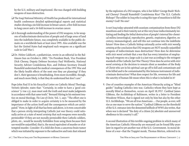by the U.S. military and imprisoned. She was charged with building weapons of mass destruction.

- ❑ The Iraqi National Ministry of Health has produced for international health conferences detailed epidemiological reports and statistical studies showing a six-fold increase in breast cancer, a five-fold increase in lung cancer and a 16-fold increase in ovarian cancer.
- ❑ A thorough understanding of the power of DU weapons, to be weapons of indiscriminate destruction of people and of large areas of land into the indefinite future, was completely available in the public domain on a worldwide basis at least since 1995. Also available was the fact the United States had employed such weapons on a significant scale in Gulf War I.
- □ Dr. Helen Caldicott, a pediatrician, wrote in an editorial in the Baltimore Sun on October 6, 2002: "Do President Bush, Vice President Dick Cheney, Deputy Defense Secretary Paul Wolfowitz, National Security Adviser Condoleezza Rice, and Defense Secretary Donald Rumsfeld understand the medical consequences of the 1991 War and the likely health effects of the next one they are planning? If they don't, their ignorance is breathtaking. Even more incredible, though, and much more likely, is that they do understand but don't care."

 Pope John Paul II in his Encyclical Letter on Catholic Moral Theology, *Veritatis Splendor,* states that: "Certainly, in order to have a 'good conscience' (1 TIM 1:5), man must seek the truth and must make judgments in accordance with that same truth." Bernard Häring in his eminent treatise on moral theology, *The Law of Christ,* Vol. 1, says: "The effort one is obliged to make in order to acquire certainty is to be measured by the importance of the action itself and the consequences which are anticipated." How, in light of all that has been said above, is it even conceivable that a person *strictly* interpreting Catholic just war theory could rationally arrive at a state of *moral certainty* that such weapons were morally permissible? If they are not morally permissible then Catholic soldiers, pilots, etc., would be morally forbidden from using them because their use would be unjustified, that is, the moral equivalent of murder or of attempted murder. Consider: If a child dies from a cancerous brain tumor which was initiated by exposure to the radioactive and toxic dust released

by the explosion of a DU weapon, who is her killer? George Bush? Richard Cheney? Donald Rumsfeld? Condoleezza Rice? The U.S. Catholic Bishops? The soldier in Iraq who is using this type of munition to kill the enemy? God? No one?

 Is not Iraq today saturated with uranium contamination from these DU munitions and is their toxicity not at this very hour indiscriminately initiating and feeding the lethal destruction of people's internal bio-chemical milieu (neurological, reproductive, genetic, respiratory, digestive, excretory, immunological), and will this not continue into the indefinite future? How does a Catholic bishop rationally arrive with *strict morally certainty* at the conclusion that DU weapons are NOT morally unjustified weapons of indiscriminate mass destruction? How does he determine with *strict moral certitude* that a war that has every intention of employing such weapons on a large scale is a just war according to the stringent standards of the Catholic Just War Theory? How does he arrive with *strict moral certainty* at the decision to remain silent as members of the Body of Christ who are in his spiritual care go off to kill and contaminate and to be killed and to be contaminated by this heinous instrument of indiscriminate destruction? What does respect for life, reverence for life and the sanctity of human life mean when this is what is included in it?

9. One of countless examples of the American Hierarchy acting as "blind guides" leading Catholics into war, Catholics whom they have kept as morally blind as themselves, occurs on April 18,1917. Cardinal James Gibbons, the Archbishop of Baltimore, writes in a letter to President Woodrow Wilson, that is signed not only by him but also by the other U.S. Archbishops, "We are all true Americans … Our people, as ever, will rise as one man to serve the nation." Cardinal Gibbons on the threshold of the U.S. entrance into the demented hellhole of WWI also writes, that when war is declared "the duty of a citizen [is] absolute and unreserved obedience to his country's call."

 A second illustration of this terrible ongoing problem in which many of the American Catholic Hierarchy are ensnared can be found fifty years later in regard to yet another war of the U.S. Government. In moral defense of a war—that the Trappist monk, Thomas Merton, referred to in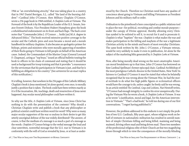1966 as "an overwhelming atrocity," that was taking place in a country that in 1967 Daniel Berrigan, S.J., called "the land of the burning children"—Cardinal John O'Connor, then Military Chaplain O'Connor, wrote a 256-page book in 1968 entitled, *A Chaplain Looks at Vietnam*. The Forward of the book is by the Republican Leader of the U.S. Senate, Senator Everett Dirksen. Vice-President Hubert Humphrey gives the book a wholehearted endorsement on its front and back flaps. The back cover notes that "Commander John J. O'Connor … holds [an] M.A. degree in Advanced Ethics." The book received extensive positive coverage in the secular and the Catholic press and soon became a moral and a morale handbook for military chaplains. It also became an apologetics primer for bishops, priests and ministers who were morally approving of members of their flocks going to Vietnam to kill people on behalf of the American cause. Indeed, the Commandant of the Marine Corps (General Leonard F. Chapman), acting as "top brass," issued an official bulletin touting the book to officers in his chain of command and stating that it should be used as background for troop training and that it provides "a reassurance for the serviceman that his participation in Vietnam is just, and that he is fulfilling an obligation to his country." [See APPENDIX for an exact replica of this notification.

 It is telling, however, that nowhere in the 256 pages of this Catholic Military Chaplain's book is Jesus mentioned, let alone quoted, even once, to morally justify a position that is taken. The book could have been written exactly as it is if the incarnation, life, teachings, death and resurrection of Jesus never happened. Any secular moral philosopher could have written it.

 So why use the title, *A Chaplain Looks at Vietnam,* since Jesus Christ has nothing to do with the presentation of the contents? Why should a Christian Chaplain write and publish a book that any philosopher or political scientist could have written word-for-word? Why were so many major secular supporters of the war so zealous in their desire to get this utterly unoriginal defense of the war widely distributed? The answer, of course, is that the medium of a message is as much a part of a message as the words. *Chaplain* O'Connor brings to the verbal message the loud and clear unwritten, nonverbal message that the U.S. war in Vietnam is in conformity with the will of God as revealed by Jesus, or at least as understood by the Church. Therefore no Christian need have any qualms of<br>conscience about going to Vietnam and killing Vietnamese as President<br>Johnson and his military staff so order.<br>Ordination to the priesthood is here conscr

under the canopy of Divine approval, thereby allowing every Chris tian symbol to be enlisted to sell it, to recruit for it and to prosecute it. Chaplain is what "baptizes" the war. Chaplain is what makes the war and makes participation in the killing and mayhem of the war a legitimate Christian activity in the minds and hearts of most everyday Christians. The same

 Now, after being morally dead wrong on the most catastrophic Ameri can moral breakdown up to that time, John O'Connor has bestowed on<br>him Cardinal Spellman's former episcopal chair, Cardinal-Archbishop of<br>the most prestigious Catholic diocese in the United States, New York! In<br>fairness to al rectitude to do what few high public figures or ecclesiastical officers<br>would have the courage to do, unless caught: he freely said he was wrong.<br>In an article entitled *The Cardinal*, *Gays and Lesbians*, Nat Hentoff w ing the Vietnam War he wrote a book, *A Chaplain Looks at Vietnam.* It was as he wrote "a justification, moral and legal, for the American interven tion in Vietnam." "That's a bad book," he told me during one of our first conversations. "I regret having published it." However, the problem addressed in this endnote is not simply the prob-

lem of two U.S. Cardinals, fifty years apart, whose religious work on be half of ventures in nationalistic militarism has resulted in untold num bers of simple Christians killing and being killed, maiming and being<br>maimed, driving others mad and being driven mad. These two members<br>of the professional religious elite of their Church are but two magnifying<br>lenses thr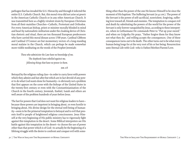pathogen that has invaded the U.S. Hierarchy and through it infected the entire U.S. Catholic Church. But, this moral virus did not arise *sui generis* in the American Catholic Church or in any other American Church. It was transmitted here as a highly-virulent strain by European Christians from all their mainline Churches—Catholic, Protestant and Orthodox. For every American bishop, priest or minister morally blinded in mind and heart by nationalistic militarism under the cloaking device of Christian rhetoric and ritual, there are ten thousand European predecessors who have carried this moral disease across 1700 years. Cardinal Gibbons and Cardinal O'Connor are but momentary vectors of a long-standing moral malaise in the Church, which can perhaps be made somewhat more visible meditating on the words of the Prophet Jeremiah:

> *Those who administer the Law have no knowledge of me. The shepherds have rebelled against me, following things that have no power in them.*

> > Jer 2:8

 Betrayal by the religious ruling class—in order to curry favor with powers which they admire and lust after but which are in fact devoid of any power to do what God wants done for humanity—is obviously not a problem that first appears on the scene with the bishops of the United States in the twenty-first century or even with the Constantinianization of the Church in the fourth century. Jeremiah, Ezekiel, Isaiah and others are well aware of the problem hundreds of years before Jesus.

 The lust for powers that God does not want his religious leaders to have because these powers are impotent in bringing about, or even hostile to bringing about, His divine design for the eternal well-being of humanity—seem to be the primeval temptation to betrayal and to evil that presents itself to people of heightened religious consciousness. Jesus Himself at the very beginning of His public ministry has to vigorously fight against this temptation in the desert. Some Biblical interpreters see His battle against this temptation in the desert—to choose the use of power other than that power which is of God—to actually be the beginning of a lifelong struggle with the desire to confront and conquer evil with something other than the power of the one He knows Himself to be since the moment of His baptism: The Suffering Servant (Is 42:1FF.). The power of the Servant is the power of self-sacrificial, nonviolent, forgiving, suffering love toward all, friends and enemies. The temptation to conquer evil and death by substituting the powers of the world for the power of the Servant is only forever vanquished by Jesus, according to these interpret ers, when in Gethsemane He commands Peter to "Put up your sword,"<br>and when on Golgotha He prays, "Father forgive them for they know<br>not what they do," and willing accepts the consequences. One of these<br>consequences turns o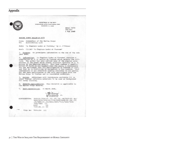#### **Appendix**



32 | The War in Iraq and The Requirement of Moral Certainty